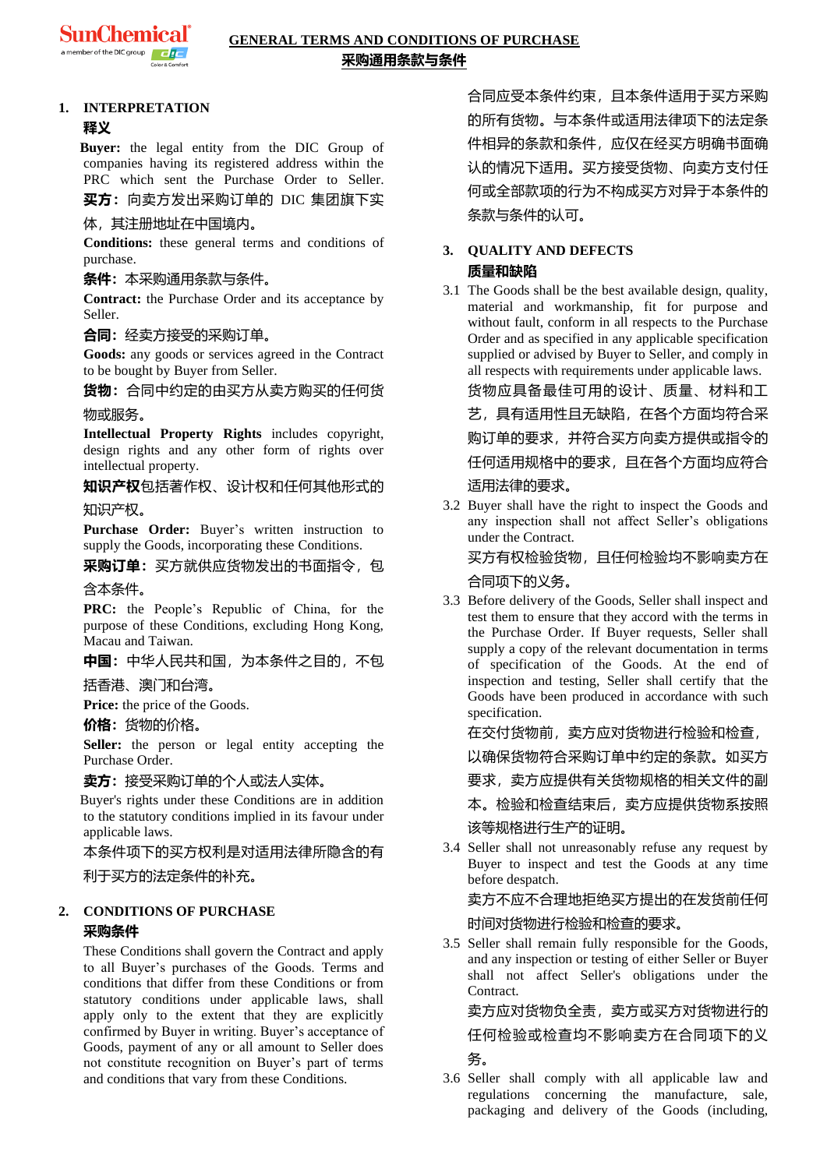

### **GENERAL TERMS AND CONDITIONS OF PURCHASE 采购通用条款与条件**

### **1. INTERPRETATION**

### **释义**

**Buyer:** the legal entity from the DIC Group of companies having its registered address within the PRC which sent the Purchase Order to Seller. **买方:**向卖方发出采购订单的 DIC 集团旗下实

### 体,其注册地址在中国境内。

**Conditions:** these general terms and conditions of purchase.

### **条件:**本采购通用条款与条件。

**Contract:** the Purchase Order and its acceptance by Seller.

### **合同:**经卖方接受的采购订单。

**Goods:** any goods or services agreed in the Contract to be bought by Buyer from Seller.

**货物:**合同中约定的由买方从卖方购买的任何货

### 物或服务。

**Intellectual Property Rights** includes copyright, design rights and any other form of rights over intellectual property.

**知识产权**包括著作权、设计权和任何其他形式的

### 知识产权。

**Purchase Order:** Buyer's written instruction to supply the Goods, incorporating these Conditions.

**采购订单:**买方就供应货物发出的书面指令,包

### 含本条件。

**PRC:** the People's Republic of China, for the purpose of these Conditions, excluding Hong Kong, Macau and Taiwan.

### **中国:**中华人民共和国,为本条件之目的,不包

### 括香港、澳门和台湾。

**Price:** the price of the Goods.

### **价格:**货物的价格。

**Seller:** the person or legal entity accepting the Purchase Order.

### **卖方:**接受采购订单的个人或法人实体。

Buyer's rights under these Conditions are in addition to the statutory conditions implied in its favour under applicable laws.

### 本条件项下的买方权利是对适用法律所隐含的有

利于买方的法定条件的补充。

### **2. CONDITIONS OF PURCHASE 采购条件**

These Conditions shall govern the Contract and apply to all Buyer's purchases of the Goods. Terms and conditions that differ from these Conditions or from statutory conditions under applicable laws, shall apply only to the extent that they are explicitly confirmed by Buyer in writing. Buyer's acceptance of Goods, payment of any or all amount to Seller does not constitute recognition on Buyer's part of terms and conditions that vary from these Conditions.

合同应受本条件约束,且本条件适用于买方采购 的所有货物。与本条件或适用法律项下的法定条 件相异的条款和条件,应仅在经买方明确书面确 认的情况下适用。买方接受货物、向卖方支付任 何或全部款项的行为不构成买方对异于本条件的 条款与条件的认可。

### **3. QUALITY AND DEFECTS 质量和缺陷**

3.1 The Goods shall be the best available design, quality, material and workmanship, fit for purpose and without fault, conform in all respects to the Purchase Order and as specified in any applicable specification supplied or advised by Buyer to Seller, and comply in all respects with requirements under applicable laws.

货物应具备最佳可用的设计、质量、材料和工 艺,具有适用性且无缺陷,在各个方面均符合采 购订单的要求,并符合买方向卖方提供或指令的 任何适用规格中的要求,且在各个方面均应符合

### 适用法律的要求。

3.2 Buyer shall have the right to inspect the Goods and any inspection shall not affect Seller's obligations under the Contract.

# 买方有权检验货物,且任何检验均不影响卖方在

### 合同项下的义务。

3.3 Before delivery of the Goods, Seller shall inspect and test them to ensure that they accord with the terms in the Purchase Order. If Buyer requests, Seller shall supply a copy of the relevant documentation in terms of specification of the Goods. At the end of inspection and testing, Seller shall certify that the Goods have been produced in accordance with such specification.

### 在交付货物前,卖方应对货物进行检验和检查,

以确保货物符合采购订单中约定的条款。如买方

要求,卖方应提供有关货物规格的相关文件的副

本。检验和检查结束后,卖方应提供货物系按照 该等规格进行生产的证明。

3.4 Seller shall not unreasonably refuse any request by Buyer to inspect and test the Goods at any time before despatch.

### 卖方不应不合理地拒绝买方提出的在发货前任何

### 时间对货物进行检验和检查的要求。

3.5 Seller shall remain fully responsible for the Goods, and any inspection or testing of either Seller or Buyer shall not affect Seller's obligations under the Contract.

卖方应对货物负全责,卖方或买方对货物进行的 任何检验或检查均不影响卖方在合同项下的义

### 务。

3.6 Seller shall comply with all applicable law and regulations concerning the manufacture, sale, packaging and delivery of the Goods (including,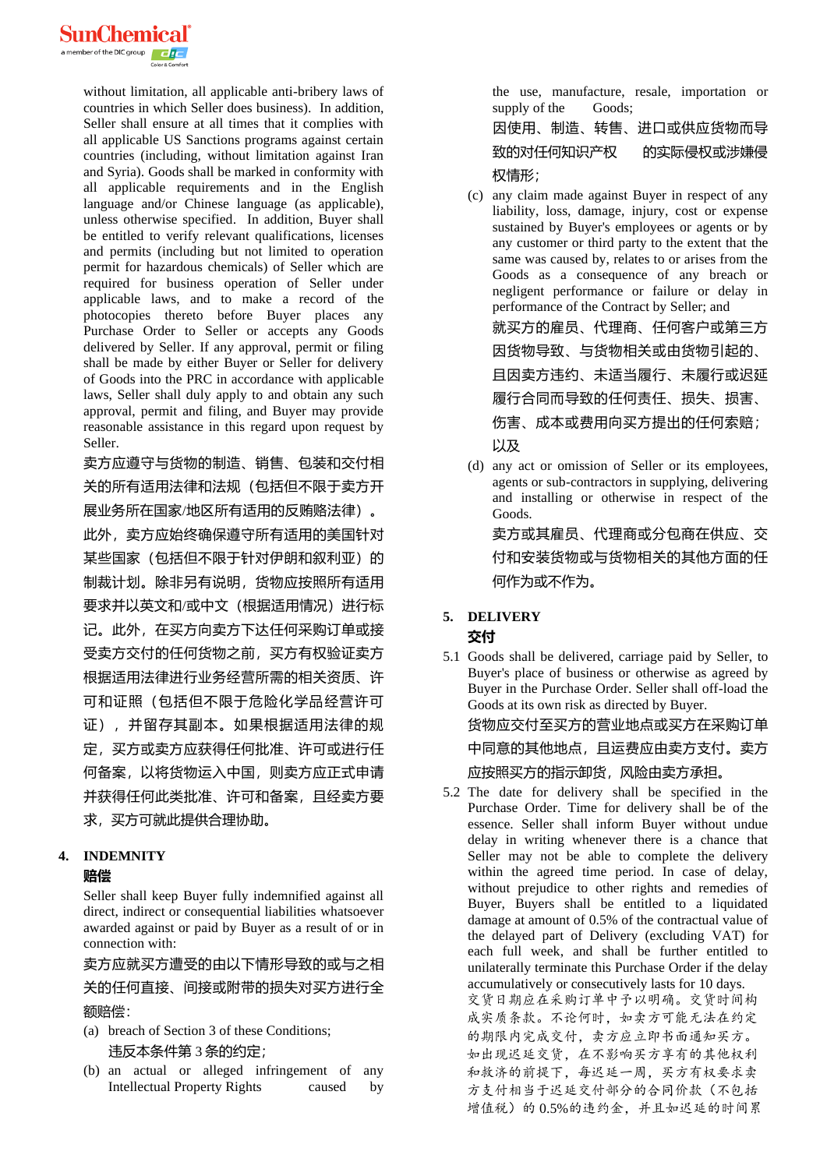

without limitation, all applicable anti-bribery laws of countries in which Seller does business). In addition, Seller shall ensure at all times that it complies with all applicable US Sanctions programs against certain countries (including, without limitation against Iran and Syria). Goods shall be marked in conformity with all applicable requirements and in the English language and/or Chinese language (as applicable), unless otherwise specified. In addition, Buyer shall be entitled to verify relevant qualifications, licenses and permits (including but not limited to operation permit for hazardous chemicals) of Seller which are required for business operation of Seller under applicable laws, and to make a record of the photocopies thereto before Buyer places any Purchase Order to Seller or accepts any Goods delivered by Seller. If any approval, permit or filing shall be made by either Buyer or Seller for delivery of Goods into the PRC in accordance with applicable laws, Seller shall duly apply to and obtain any such approval, permit and filing, and Buyer may provide reasonable assistance in this regard upon request by Seller.

卖方应遵守与货物的制造、销售、包装和交付相 关的所有适用法律和法规(包括但不限于卖方开 展业务所在国家/地区所有适用的反贿赂法律)。

此外,卖方应始终确保遵守所有适用的美国针对 某些国家(包括但不限于针对伊朗和叙利亚)的 制裁计划。除非另有说明,货物应按照所有适用 要求并以英文和/或中文(根据适用情况)进行标 记。此外,在买方向卖方下达任何采购订单或接 受卖方交付的任何货物之前,买方有权验证卖方 根据适用法律进行业务经营所需的相关资质、许 可和证照(包括但不限于危险化学品经营许可 证),并留存其副本。如果根据适用法律的规 定,买方或卖方应获得任何批准、许可或进行任 何备案,以将货物运入中国,则卖方应正式申请 并获得任何此类批准、许可和备案,且经卖方要 求,买方可就此提供合理协助。

### **4. INDEMNITY**

### **赔偿**

Seller shall keep Buyer fully indemnified against all direct, indirect or consequential liabilities whatsoever awarded against or paid by Buyer as a result of or in connection with:

卖方应就买方遭受的由以下情形导致的或与之相

关的任何直接、间接或附带的损失对买方进行全 额赔偿:

- (a) breach of Section 3 of these Conditions; 违反本条件第 3 条的约定;
- (b) an actual or alleged infringement of any Intellectual Property Rights caused by

the use, manufacture, resale, importation or supply of the Goods;

因使用、制造、转售、进口或供应货物而导 致的对任何知识产权——的实际侵权或涉嫌侵 权情形;

(c) any claim made against Buyer in respect of any liability, loss, damage, injury, cost or expense sustained by Buyer's employees or agents or by any customer or third party to the extent that the same was caused by, relates to or arises from the Goods as a consequence of any breach or negligent performance or failure or delay in performance of the Contract by Seller; and 就买方的雇员、代理商、任何客户或第三方 因货物导致、与货物相关或由货物引起的、 且因卖方违约、未适当履行、未履行或迟延 履行合同而导致的任何责任、损失、损害、 伤害、成本或费用向买方提出的任何索赔; 以及

(d) any act or omission of Seller or its employees, agents or sub-contractors in supplying, delivering and installing or otherwise in respect of the Goods. 卖方或其雇员、代理商或分包商在供应、交

付和安装货物或与货物相关的其他方面的任 何作为或不作为。

### **5. DELIVERY**

### **交付**

5.1 Goods shall be delivered, carriage paid by Seller, to Buyer's place of business or otherwise as agreed by Buyer in the Purchase Order. Seller shall off-load the Goods at its own risk as directed by Buyer.

货物应交付至买方的营业地点或买方在采购订单 中同意的其他地点,且运费应由卖方支付。卖方 应按照买方的指示卸货,风险由卖方承担。

5.2 The date for delivery shall be specified in the Purchase Order. Time for delivery shall be of the essence. Seller shall inform Buyer without undue delay in writing whenever there is a chance that Seller may not be able to complete the delivery within the agreed time period. In case of delay, without prejudice to other rights and remedies of Buyer, Buyers shall be entitled to a liquidated damage at amount of 0.5% of the contractual value of the delayed part of Delivery (excluding VAT) for each full week, and shall be further entitled to unilaterally terminate this Purchase Order if the delay accumulatively or consecutively lasts for 10 days. 交货日期应在采购订单中予以明确。交货时间构 成实质条款。不论何时,如卖方可能无法在约定 的期限内完成交付,卖方应立即书面通知买方。 如出现迟延交货,在不影响买方享有的其他权利 和救济的前提下,每迟延一周,买方有权要求卖 方支付相当于迟延交付部分的合同价款(不包括 增值税)的 0.5%的违约金,并且如迟延的时间累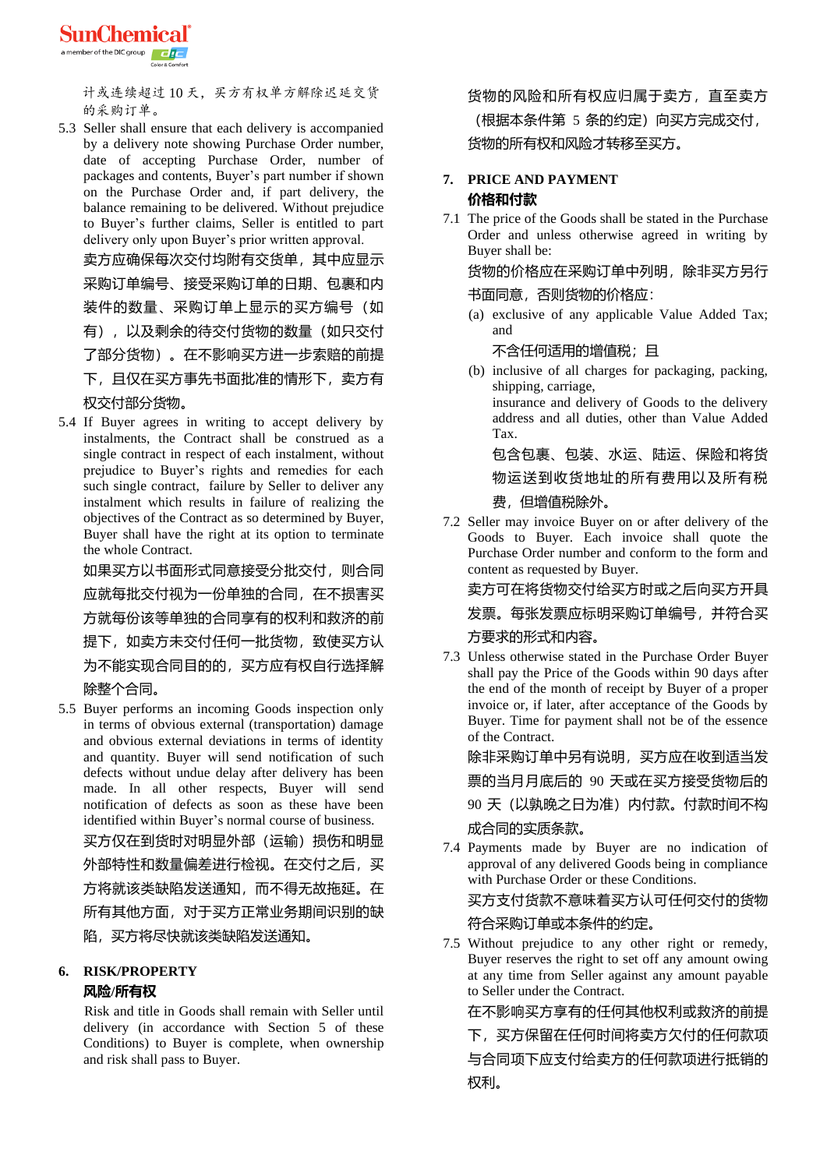

计或连续超过 10 天,买方有权单方解除迟延交货 的采购订单。

5.3 Seller shall ensure that each delivery is accompanied by a delivery note showing Purchase Order number, date of accepting Purchase Order, number of packages and contents, Buyer's part number if shown on the Purchase Order and, if part delivery, the balance remaining to be delivered. Without prejudice to Buyer's further claims, Seller is entitled to part delivery only upon Buyer's prior written approval.

卖方应确保每次交付均附有交货单,其中应显示 采购订单编号、接受采购订单的日期、包裹和内 装件的数量、采购订单上显示的买方编号(如 有),以及剩余的待交付货物的数量(如只交付 了部分货物)。在不影响买方进一步索赔的前提 下,且仅在买方事先书面批准的情形下,卖方有 权交付部分货物。

5.4 If Buyer agrees in writing to accept delivery by instalments, the Contract shall be construed as a single contract in respect of each instalment, without prejudice to Buyer's rights and remedies for each such single contract, failure by Seller to deliver any instalment which results in failure of realizing the objectives of the Contract as so determined by Buyer, Buyer shall have the right at its option to terminate

the whole Contract. 如果买方以书面形式同意接受分批交付,则合同 应就每批交付视为一份单独的合同,在不损害买 方就每份该等单独的合同享有的权利和救济的前 提下,如卖方未交付任何一批货物,致使买方认 为不能实现合同目的的,买方应有权自行选择解 除整个合同。

5.5 Buyer performs an incoming Goods inspection only in terms of obvious external (transportation) damage and obvious external deviations in terms of identity and quantity. Buyer will send notification of such defects without undue delay after delivery has been made. In all other respects, Buyer will send notification of defects as soon as these have been identified within Buyer's normal course of business.

买方仅在到货时对明显外部(运输)损伤和明显 外部特性和数量偏差进行检视。在交付之后, 买 方将就该类缺陷发送通知,而不得无故拖延。在 所有其他方面,对于买方正常业务期间识别的缺 陷,买方将尽快就该类缺陷发送通知。

### **6. RISK/PROPERTY 风险/所有权**

Risk and title in Goods shall remain with Seller until delivery (in accordance with Section 5 of these Conditions) to Buyer is complete, when ownership and risk shall pass to Buyer.

货物的风险和所有权应归属于卖方,直至卖方 (根据本条件第 5 条的约定) 向买方完成交付,

货物的所有权和风险才转移至买方。

### **7. PRICE AND PAYMENT 价格和付款**

7.1 The price of the Goods shall be stated in the Purchase Order and unless otherwise agreed in writing by Buyer shall be:

货物的价格应在采购订单中列明,除非买方另行

书面同意,否则货物的价格应:

(a) exclusive of any applicable Value Added Tax; and

不含任何适用的增值税;且

(b) inclusive of all charges for packaging, packing, shipping, carriage, insurance and delivery of Goods to the delivery address and all duties, other than Value Added

Tax. 包含包裹、包装、水运、陆运、保险和将货

物运送到收货地址的所有费用以及所有税

### 费,但增值税除外。

7.2 Seller may invoice Buyer on or after delivery of the Goods to Buyer. Each invoice shall quote the Purchase Order number and conform to the form and content as requested by Buyer.

卖方可在将货物交付给买方时或之后向买方开具

发票。每张发票应标明采购订单编号,并符合买 方要求的形式和内容。

7.3 Unless otherwise stated in the Purchase Order Buyer shall pay the Price of the Goods within 90 days after the end of the month of receipt by Buyer of a proper invoice or, if later, after acceptance of the Goods by Buyer. Time for payment shall not be of the essence of the Contract.

除非采购订单中另有说明,买方应在收到适当发

票的当月月底后的 90 天或在买方接受货物后的

90 天 (以孰晚之日为准) 内付款。付款时间不构 成合同的实质条款。

7.4 Payments made by Buyer are no indication of approval of any delivered Goods being in compliance with Purchase Order or these Conditions.

买方支付货款不意味着买方认可任何交付的货物

### 符合采购订单或本条件的约定。

7.5 Without prejudice to any other right or remedy, Buyer reserves the right to set off any amount owing at any time from Seller against any amount payable to Seller under the Contract.

在不影响买方享有的任何其他权利或救济的前提

下,买方保留在任何时间将卖方欠付的任何款项 与合同项下应支付给卖方的任何款项进行抵销的 权利。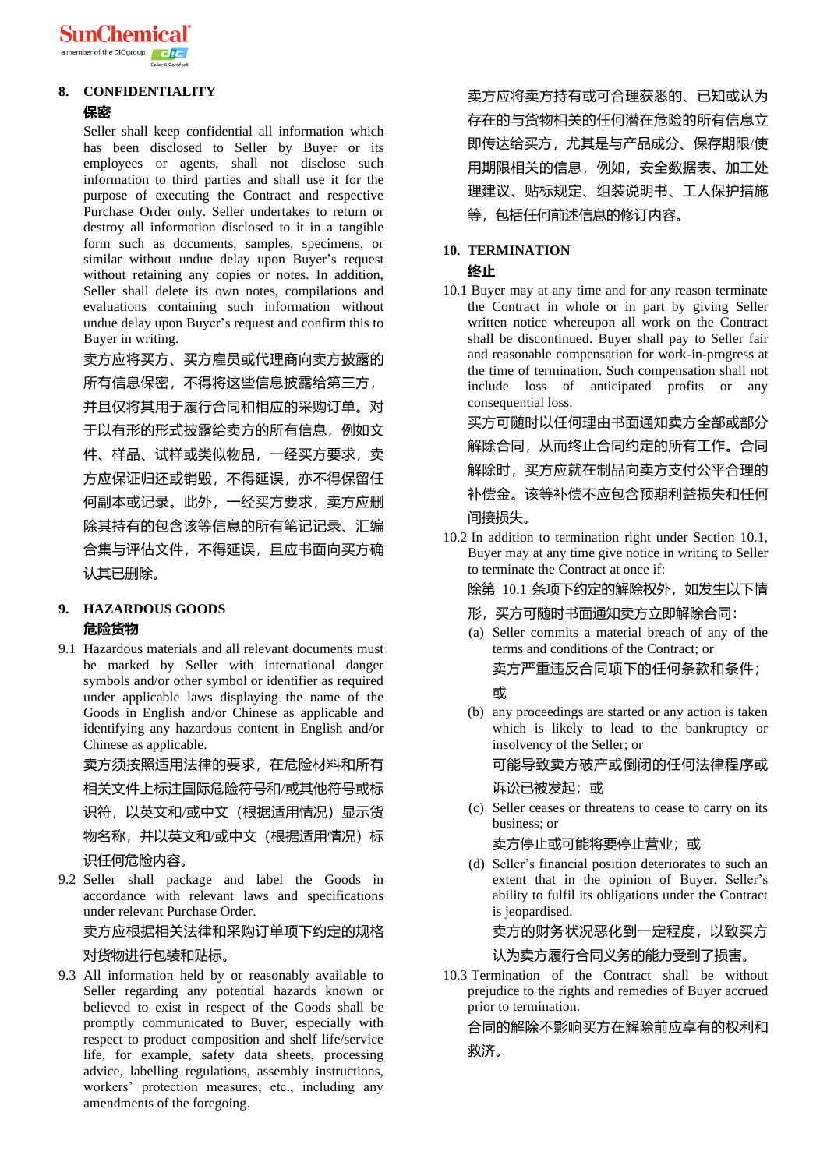

## **8. CONFIDENTIALITY**

#### **保密**

Seller shall keep confidential all information which has been disclosed to Seller by Buyer or its employees or agents, shall not disclose such information to third parties and shall use it for the purpose of executing the Contract and respective Purchase Order only. Seller undertakes to return or destroy all information disclosed to it in a tangible form such as documents, samples, specimens, or similar without undue delay upon Buyer's request without retaining any copies or notes. In addition, Seller shall delete its own notes, compilations and evaluations containing such information without undue delay upon Buyer's request and confirm this to Buyer in writing.

卖方应将买方、买方雇员或代理商向卖方披露的

所有信息保密,不得将这些信息披露给第三方,

并且仅将其用于履行合同和相应的采购订单。对 于以有形的形式披露给卖方的所有信息,例如文 件、样品、试样或类似物品,一经买方要求,卖 方应保证归还或销毁,不得延误,亦不得保留任 何副本或记录。此外,一经买方要求,卖方应删 除其持有的包含该等信息的所有笔记记录、汇编 合集与评估文件,不得延误,且应书面向买方确 认其已删除。

### **9. HAZARDOUS GOODS 危险货物**

9.1 Hazardous materials and all relevant documents must be marked by Seller with international danger symbols and/or other symbol or identifier as required under applicable laws displaying the name of the Goods in English and/or Chinese as applicable and identifying any hazardous content in English and/or Chinese as applicable.

卖方须按照适用法律的要求,在危险材料和所有

相关文件上标注国际危险符号和/或其他符号或标

识符,以英文和/或中文(根据适用情况)显示货

物名称, 并以英文和/或中文(根据适用情况)标 识任何危险内容。

9.2 Seller shall package and label the Goods in accordance with relevant laws and specifications under relevant Purchase Order.

卖方应根据相关法律和采购订单项下约定的规格

### 对货物进行包装和贴标。

9.3 All information held by or reasonably available to Seller regarding any potential hazards known or believed to exist in respect of the Goods shall be promptly communicated to Buyer, especially with respect to product composition and shelf life/service life, for example, safety data sheets, processing advice, labelling regulations, assembly instructions, workers' protection measures, etc., including any amendments of the foregoing.

卖方应将卖方持有或可合理获悉的、已知或认为 存在的与货物相关的任何潜在危险的所有信息立 即传达给买方,尤其是与产品成分、保存期限/使 用期限相关的信息,例如,安全数据表、加工处 理建议、贴标规定、组装说明书、工人保护措施 等,包括任何前述信息的修订内容。

# **10. TERMINATION**

### **终止**

10.1 Buyer may at any time and for any reason terminate the Contract in whole or in part by giving Seller written notice whereupon all work on the Contract shall be discontinued. Buyer shall pay to Seller fair and reasonable compensation for work-in-progress at the time of termination. Such compensation shall not include loss of anticipated profits or any consequential loss.

买方可随时以任何理由书面通知卖方全部或部分 解除合同,从而终止合同约定的所有工作。合同 解除时,买方应就在制品向卖方支付公平合理的 补偿金。该等补偿不应包含预期利益损失和任何 间接损失。

10.2 In addition to termination right under Section 10.1, Buyer may at any time give notice in writing to Seller to terminate the Contract at once if:

除第 10.1 条项下约定的解除权外,如发生以下情

- 形,买方可随时书面通知卖方立即解除合同:
- (a) Seller commits a material breach of any of the terms and conditions of the Contract; or 卖方严重违反合同项下的任何条款和条件;

### 或

(b) any proceedings are started or any action is taken which is likely to lead to the bankruptcy or insolvency of the Seller; or

可能导致卖方破产或倒闭的任何法律程序或

### 诉讼已被发起;或

(c) Seller ceases or threatens to cease to carry on its business; or

### 卖方停止或可能将要停止营业;或

(d) Seller's financial position deteriorates to such an extent that in the opinion of Buyer, Seller's ability to fulfil its obligations under the Contract is jeopardised.

卖方的财务状况恶化到一定程度,以致买方

### 认为卖方履行合同义务的能力受到了损害。

10.3 Termination of the Contract shall be without prejudice to the rights and remedies of Buyer accrued prior to termination.

合同的解除不影响买方在解除前应享有的权利和 救济。